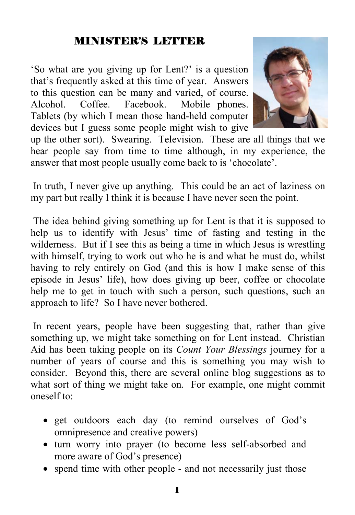#### MINISTER'S LETTER

'So what are you giving up for Lent?' is a question that's frequently asked at this time of year. Answers to this question can be many and varied, of course. Alcohol. Coffee. Facebook. Mobile phones. Tablets (by which I mean those hand-held computer devices but I guess some people might wish to give



up the other sort). Swearing. Television. These are all things that we hear people say from time to time although, in my experience, the answer that most people usually come back to is 'chocolate'.

 In truth, I never give up anything. This could be an act of laziness on my part but really I think it is because I have never seen the point.

 The idea behind giving something up for Lent is that it is supposed to help us to identify with Jesus' time of fasting and testing in the wilderness. But if I see this as being a time in which Jesus is wrestling with himself, trying to work out who he is and what he must do, whilst having to rely entirely on God (and this is how I make sense of this episode in Jesus' life), how does giving up beer, coffee or chocolate help me to get in touch with such a person, such questions, such an approach to life? So I have never bothered.

 In recent years, people have been suggesting that, rather than give something up, we might take something on for Lent instead. Christian Aid has been taking people on its *Count Your Blessings* journey for a number of years of course and this is something you may wish to consider. Beyond this, there are several online blog suggestions as to what sort of thing we might take on. For example, one might commit oneself to:

- get outdoors each day (to remind ourselves of God's omnipresence and creative powers)
- turn worry into prayer (to become less self-absorbed and more aware of God's presence)
- spend time with other people and not necessarily just those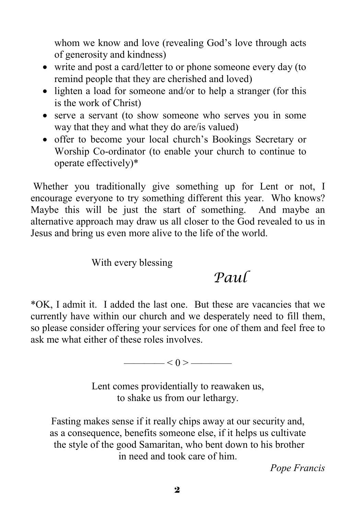whom we know and love (revealing God's love through acts of generosity and kindness)

- write and post a card/letter to or phone someone every day (to remind people that they are cherished and loved)
- lighten a load for someone and/or to help a stranger (for this is the work of Christ)
- serve a servant (to show someone who serves you in some way that they and what they do are/is valued)
- offer to become your local church's Bookings Secretary or Worship Co-ordinator (to enable your church to continue to operate effectively)\*

 Whether you traditionally give something up for Lent or not, I encourage everyone to try something different this year. Who knows? Maybe this will be just the start of something. And maybe an alternative approach may draw us all closer to the God revealed to us in Jesus and bring us even more alive to the life of the world.

With every blessing

## *Paul*

\*OK, I admit it. I added the last one. But these are vacancies that we currently have within our church and we desperately need to fill them, so please consider offering your services for one of them and feel free to ask me what either of these roles involves.

 $\left| \left( \alpha \right) \right| < 0 > \frac{1}{\alpha}$ 

Lent comes providentially to reawaken us, to shake us from our lethargy.

Fasting makes sense if it really chips away at our security and, as a consequence, benefits someone else, if it helps us cultivate the style of the good Samaritan, who bent down to his brother in need and took care of him.

*Pope Francis*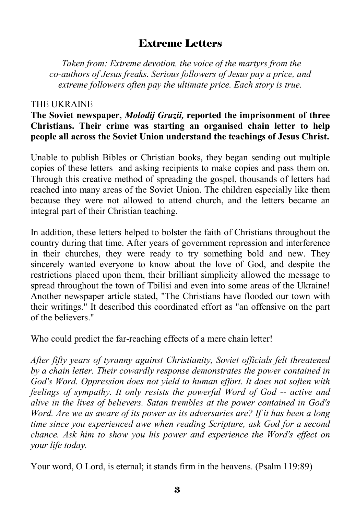#### Extreme Letters

 *Taken from: Extreme devotion, the voice of the martyrs from the co-authors of Jesus freaks. Serious followers of Jesus pay a price, and extreme followers often pay the ultimate price. Each story is true.* 

#### THE UKRAINE

#### **The Soviet newspaper,** *Molodij Gruzii,* **reported the imprisonment of three Christians. Their crime was starting an organised chain letter to help people all across the Soviet Union understand the teachings of Jesus Christ.**

Unable to publish Bibles or Christian books, they began sending out multiple copies of these letters and asking recipients to make copies and pass them on. Through this creative method of spreading the gospel, thousands of letters had reached into many areas of the Soviet Union. The children especially like them because they were not allowed to attend church, and the letters became an integral part of their Christian teaching.

In addition, these letters helped to bolster the faith of Christians throughout the country during that time. After years of government repression and interference in their churches, they were ready to try something bold and new. They sincerely wanted everyone to know about the love of God, and despite the restrictions placed upon them, their brilliant simplicity allowed the message to spread throughout the town of Tbilisi and even into some areas of the Ukraine! Another newspaper article stated, "The Christians have flooded our town with their writings." It described this coordinated effort as "an offensive on the part of the believers."

Who could predict the far-reaching effects of a mere chain letter!

*After fifty years of tyranny against Christianity, Soviet officials felt threatened by a chain letter. Their cowardly response demonstrates the power contained in God's Word. Oppression does not yield to human effort. It does not soften with feelings of sympathy. It only resists the powerful Word of God -- active and alive in the lives of believers. Satan trembles at the power contained in God's Word. Are we as aware of its power as its adversaries are? If it has been a long time since you experienced awe when reading Scripture, ask God for a second chance. Ask him to show you his power and experience the Word's effect on your life today.* 

Your word, O Lord, is eternal; it stands firm in the heavens. (Psalm 119:89)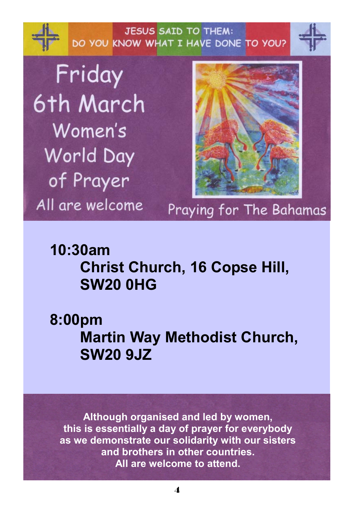**JESUS SAID TO THEM:** DO YOU KNOW WHAT I HAVE DONE TO YOU?

Friday 6th March Women's World Day of Prayer All are welcome



## Praying for The Bahamas

## **10:30am Christ Church, 16 Copse Hill, SW20 0HG**

**8:00pm Martin Way Methodist Church, SW20 9JZ** 

**Although organised and led by women, this is essentially a day of prayer for everybody as we demonstrate our solidarity with our sisters and brothers in other countries. All are welcome to attend.**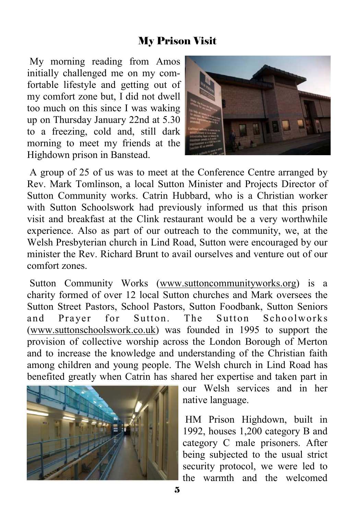#### My Prison Visit

 My morning reading from Amos initially challenged me on my comfortable lifestyle and getting out of my comfort zone but, I did not dwell too much on this since I was waking up on Thursday January 22nd at 5.30 to a freezing, cold and, still dark morning to meet my friends at the Highdown prison in Banstead.



 A group of 25 of us was to meet at the Conference Centre arranged by Rev. Mark Tomlinson, a local Sutton Minister and Projects Director of Sutton Community works. Catrin Hubbard, who is a Christian worker with Sutton Schoolswork had previously informed us that this prison visit and breakfast at the Clink restaurant would be a very worthwhile experience. Also as part of our outreach to the community, we, at the Welsh Presbyterian church in Lind Road, Sutton were encouraged by our minister the Rev. Richard Brunt to avail ourselves and venture out of our comfort zones.

 Sutton Community Works (www.suttoncommunityworks.org) is a charity formed of over 12 local Sutton churches and Mark oversees the Sutton Street Pastors, School Pastors, Sutton Foodbank, Sutton Seniors and Prayer for Sutton. The Sutton Schoolworks (www.suttonschoolswork.co.uk) was founded in 1995 to support the provision of collective worship across the London Borough of Merton and to increase the knowledge and understanding of the Christian faith among children and young people. The Welsh church in Lind Road has benefited greatly when Catrin has shared her expertise and taken part in



our Welsh services and in her native language.

 HM Prison Highdown, built in 1992, houses 1,200 category B and category C male prisoners. After being subjected to the usual strict security protocol, we were led to the warmth and the welcomed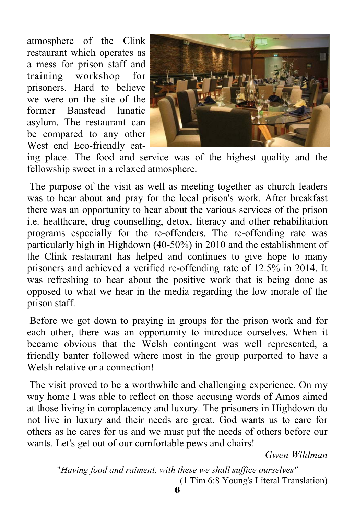atmosphere of the Clink restaurant which operates as a mess for prison staff and training workshop for prisoners. Hard to believe we were on the site of the former Banstead lunatic asylum. The restaurant can be compared to any other West end Eco-friendly eat-



ing place. The food and service was of the highest quality and the fellowship sweet in a relaxed atmosphere.

 The purpose of the visit as well as meeting together as church leaders was to hear about and pray for the local prison's work. After breakfast there was an opportunity to hear about the various services of the prison i.e. healthcare, drug counselling, detox, literacy and other rehabilitation programs especially for the re-offenders. The re-offending rate was particularly high in Highdown (40-50%) in 2010 and the establishment of the Clink restaurant has helped and continues to give hope to many prisoners and achieved a verified re-offending rate of 12.5% in 2014. It was refreshing to hear about the positive work that is being done as opposed to what we hear in the media regarding the low morale of the prison staff.

 Before we got down to praying in groups for the prison work and for each other, there was an opportunity to introduce ourselves. When it became obvious that the Welsh contingent was well represented, a friendly banter followed where most in the group purported to have a Welsh relative or a connection!

 The visit proved to be a worthwhile and challenging experience. On my way home I was able to reflect on those accusing words of Amos aimed at those living in complacency and luxury. The prisoners in Highdown do not live in luxury and their needs are great. God wants us to care for others as he cares for us and we must put the needs of others before our wants. Let's get out of our comfortable pews and chairs!

*Gwen Wildman* 

"*Having food and raiment, with these we shall suffice ourselves"*  (1 Tim 6:8 Young's Literal Translation)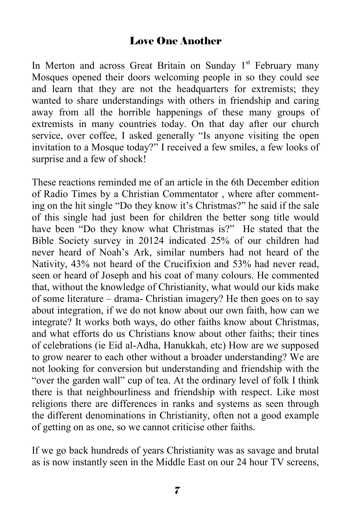#### Love One Another

In Merton and across Great Britain on Sunday  $1<sup>st</sup>$  February many Mosques opened their doors welcoming people in so they could see and learn that they are not the headquarters for extremists; they wanted to share understandings with others in friendship and caring away from all the horrible happenings of these many groups of extremists in many countries today. On that day after our church service, over coffee, I asked generally "Is anyone visiting the open invitation to a Mosque today?" I received a few smiles, a few looks of surprise and a few of shock!

These reactions reminded me of an article in the 6th December edition of Radio Times by a Christian Commentator , where after commenting on the hit single "Do they know it's Christmas?" he said if the sale of this single had just been for children the better song title would have been "Do they know what Christmas is?" He stated that the Bible Society survey in 20124 indicated 25% of our children had never heard of Noah's Ark, similar numbers had not heard of the Nativity, 43% not heard of the Crucifixion and 53% had never read, seen or heard of Joseph and his coat of many colours. He commented that, without the knowledge of Christianity, what would our kids make of some literature – drama- Christian imagery? He then goes on to say about integration, if we do not know about our own faith, how can we integrate? It works both ways, do other faiths know about Christmas, and what efforts do us Christians know about other faiths; their tines of celebrations (ie Eid al-Adha, Hanukkah, etc) How are we supposed to grow nearer to each other without a broader understanding? We are not looking for conversion but understanding and friendship with the "over the garden wall" cup of tea. At the ordinary level of folk I think there is that neighbourliness and friendship with respect. Like most religions there are differences in ranks and systems as seen through the different denominations in Christianity, often not a good example of getting on as one, so we cannot criticise other faiths.

If we go back hundreds of years Christianity was as savage and brutal as is now instantly seen in the Middle East on our 24 hour TV screens,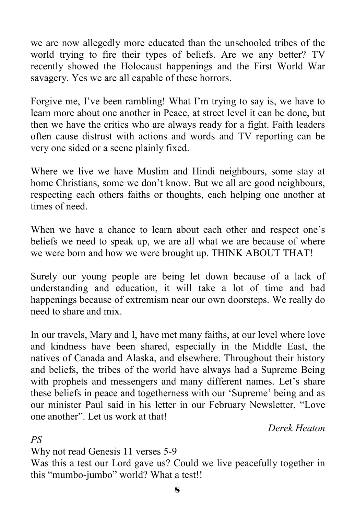we are now allegedly more educated than the unschooled tribes of the world trying to fire their types of beliefs. Are we any better? TV recently showed the Holocaust happenings and the First World War savagery. Yes we are all capable of these horrors.

Forgive me, I've been rambling! What I'm trying to say is, we have to learn more about one another in Peace, at street level it can be done, but then we have the critics who are always ready for a fight. Faith leaders often cause distrust with actions and words and TV reporting can be very one sided or a scene plainly fixed.

Where we live we have Muslim and Hindi neighbours, some stay at home Christians, some we don't know. But we all are good neighbours, respecting each others faiths or thoughts, each helping one another at times of need.

When we have a chance to learn about each other and respect one's beliefs we need to speak up, we are all what we are because of where we were born and how we were brought up. THINK ABOUT THAT!

Surely our young people are being let down because of a lack of understanding and education, it will take a lot of time and bad happenings because of extremism near our own doorsteps. We really do need to share and mix.

In our travels, Mary and I, have met many faiths, at our level where love and kindness have been shared, especially in the Middle East, the natives of Canada and Alaska, and elsewhere. Throughout their history and beliefs, the tribes of the world have always had a Supreme Being with prophets and messengers and many different names. Let's share these beliefs in peace and togetherness with our 'Supreme' being and as our minister Paul said in his letter in our February Newsletter, "Love one another". Let us work at that!

*Derek Heaton* 

*PS* 

Why not read Genesis 11 verses 5-9

Was this a test our Lord gave us? Could we live peacefully together in this "mumbo-jumbo" world? What a test!!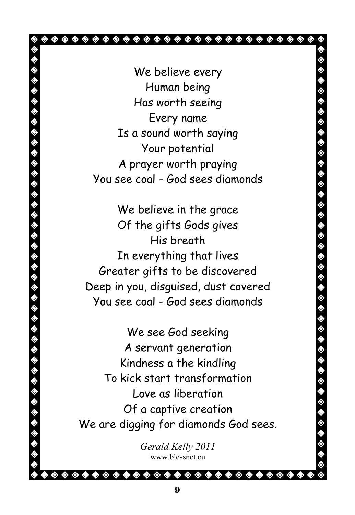**\*\*\*\*\*\*\*\*\*\*\*\*\*\*\*\*\*\*\*\*\*\*\*\***\* We believe every Human being Has worth seeing Every name Is a sound worth saying Your potential A prayer worth praying You see coal - God sees diamonds We believe in the grace Of the gifts Gods gives His breath In everything that lives Greater gifts to be discovered Deep in you, disguised, dust covered You see coal - God sees diamonds We see God seeking A servant generation Kindness a the kindling To kick start transformation Love as liberation Of a captive creation We are digging for diamonds God sees. *Gerald Kelly 2011*  www.blessnet.eu

◈ ◈ </del>

◈ ◈ ◈ ◈  $\color{blue}\blacklozenge\color{orange}\blacklozenge\color{orange}\blacklozenge\color{orange}\blacklozenge\color{orange}\blacklozenge\color{orange}\blacklozenge\color{orange}\blacklozenge\color{orange}\blacklozenge\color{orange}\blacklozenge\color{orange}\blacklozenge\color{orange}\blacklozenge\color{orange}\blacklozenge\color{orange}\blacklozenge\color{orange}\blacklozenge\color{orange}\blacklozenge\color{orange}\blacklozenge\color{orange}\blacklozenge\color{orange}\blacklozenge\color{orange}\blacklozenge\color{orange}\blacklozenge\color{orange}\blacklozenge\color{orange}\blacklozenge\color{orange}\blacklozenge\color{orange}\blacklozenge\color{orange$ 

◈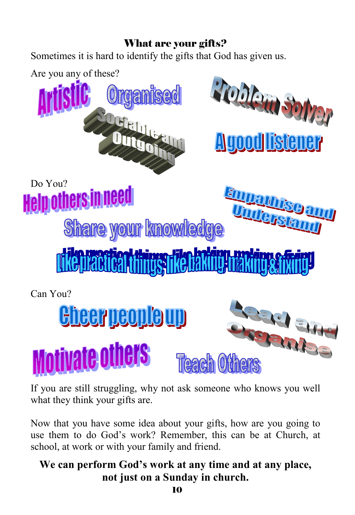#### What are your gifts?

Sometimes it is hard to identify the gifts that God has given us.



If you are still struggling, why not ask someone who knows you well what they think your gifts are.

Now that you have some idea about your gifts, how are you going to use them to do God's work? Remember, this can be at Church, at school, at work or with your family and friend.

#### **We can perform God's work at any time and at any place, not just on a Sunday in church.**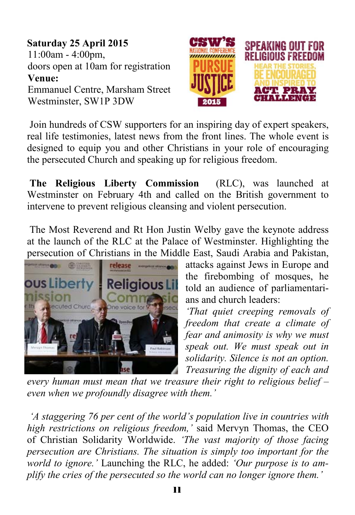**Saturday 25 April 2015**  11:00am - 4:00pm, doors open at 10am for registration **Venue:** Emmanuel Centre, Marsham Street Westminster, SW1P 3DW



 Join hundreds of CSW supporters for an inspiring day of expert speakers, real life testimonies, latest news from the front lines. The whole event is designed to equip you and other Christians in your role of encouraging the persecuted Church and speaking up for religious freedom.

**The Religious Liberty Commission** (RLC), was launched at Westminster on February 4th and called on the British government to intervene to prevent religious cleansing and violent persecution.

 The Most Reverend and Rt Hon Justin Welby gave the keynote address at the launch of the RLC at the Palace of Westminster. Highlighting the persecution of Christians in the Middle East, Saudi Arabia and Pakistan,



attacks against Jews in Europe and the firebombing of mosques, he told an audience of parliamentarians and church leaders:

*'That quiet creeping removals of freedom that create a climate of fear and animosity is why we must speak out. We must speak out in solidarity. Silence is not an option. Treasuring the dignity of each and* 

*every human must mean that we treasure their right to religious belief – even when we profoundly disagree with them.'* 

 *'A staggering 76 per cent of the world's population live in countries with high restrictions on religious freedom,'* said Mervyn Thomas, the CEO of Christian Solidarity Worldwide. *'The vast majority of those facing persecution are Christians. The situation is simply too important for the world to ignore.'* Launching the RLC, he added: *'Our purpose is to amplify the cries of the persecuted so the world can no longer ignore them.'*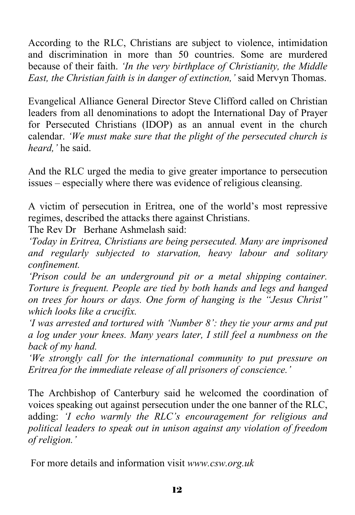According to the RLC, Christians are subject to violence, intimidation and discrimination in more than 50 countries. Some are murdered because of their faith. *'In the very birthplace of Christianity, the Middle East, the Christian faith is in danger of extinction,'* said Mervyn Thomas.

Evangelical Alliance General Director Steve Clifford called on Christian leaders from all denominations to adopt the International Day of Prayer for Persecuted Christians (IDOP) as an annual event in the church calendar. *'We must make sure that the plight of the persecuted church is heard,'* he said.

And the RLC urged the media to give greater importance to persecution issues – especially where there was evidence of religious cleansing.

A victim of persecution in Eritrea, one of the world's most repressive regimes, described the attacks there against Christians.

The Rev Dr Berhane Ashmelash said:

*'Today in Eritrea, Christians are being persecuted. Many are imprisoned and regularly subjected to starvation, heavy labour and solitary confinement.* 

*'Prison could be an underground pit or a metal shipping container. Torture is frequent. People are tied by both hands and legs and hanged on trees for hours or days. One form of hanging is the "Jesus Christ" which looks like a crucifix.* 

*'I was arrested and tortured with 'Number 8': they tie your arms and put a log under your knees. Many years later, I still feel a numbness on the back of my hand.* 

*'We strongly call for the international community to put pressure on Eritrea for the immediate release of all prisoners of conscience.'* 

The Archbishop of Canterbury said he welcomed the coordination of voices speaking out against persecution under the one banner of the RLC, adding: *'I echo warmly the RLC's encouragement for religious and political leaders to speak out in unison against any violation of freedom of religion.'* 

For more details and information visit *www.csw.org.uk*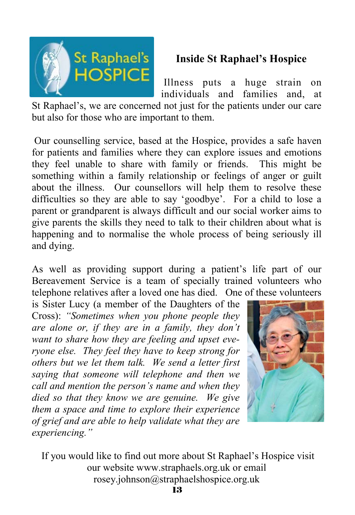

#### **Inside St Raphael's Hospice**

 Illness puts a huge strain on individuals and families and, at

St Raphael's, we are concerned not just for the patients under our care but also for those who are important to them.

 Our counselling service, based at the Hospice, provides a safe haven for patients and families where they can explore issues and emotions they feel unable to share with family or friends. This might be something within a family relationship or feelings of anger or guilt about the illness. Our counsellors will help them to resolve these difficulties so they are able to say 'goodbye'. For a child to lose a parent or grandparent is always difficult and our social worker aims to give parents the skills they need to talk to their children about what is happening and to normalise the whole process of being seriously ill and dying.

As well as providing support during a patient's life part of our Bereavement Service is a team of specially trained volunteers who telephone relatives after a loved one has died. One of these volunteers

is Sister Lucy (a member of the Daughters of the Cross): *"Sometimes when you phone people they are alone or, if they are in a family, they don't want to share how they are feeling and upset everyone else. They feel they have to keep strong for others but we let them talk. We send a letter first saying that someone will telephone and then we call and mention the person's name and when they died so that they know we are genuine. We give them a space and time to explore their experience of grief and are able to help validate what they are experiencing."* 



 If you would like to find out more about St Raphael's Hospice visit our website www.straphaels.org.uk or email rosey.johnson@straphaelshospice.org.uk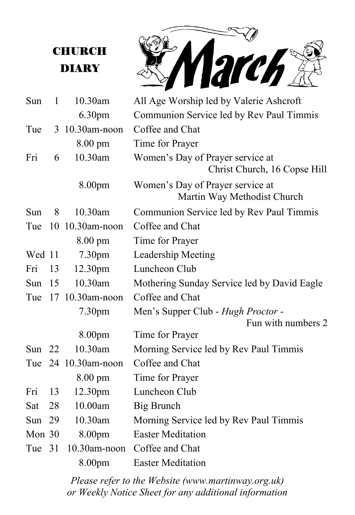## **CHURCH** DIARY

March

| Sun    | 1  | 10.30am             | All Age Worship led by Valerie Ashcroft                          |
|--------|----|---------------------|------------------------------------------------------------------|
|        |    | 6.30pm              | Communion Service led by Rev Paul Timmis                         |
| Tue    |    | 3 10.30am-noon      | Coffee and Chat                                                  |
|        |    | 8.00 pm             | Time for Prayer                                                  |
| Fri    | 6  | 10.30am             | Women's Day of Prayer service at<br>Christ Church, 16 Copse Hill |
|        |    | 8.00pm              | Women's Day of Prayer service at<br>Martin Way Methodist Church  |
| Sun    | 8  | 10.30am             | Communion Service led by Rev Paul Timmis                         |
| Tue    | 10 | 10.30am-noon        | Coffee and Chat                                                  |
|        |    | 8.00 pm             | Time for Prayer                                                  |
| Wed 11 |    | 7.30pm              | Leadership Meeting                                               |
| Fri    | 13 | 12.30 <sub>pm</sub> | Luncheon Club                                                    |
| Sun    | 15 | 10.30am             | Mothering Sunday Service led by David Eagle                      |
| Tue    | 17 | $10.30$ am-noon     | Coffee and Chat                                                  |
|        |    | 7.30pm              | Men's Supper Club - Hugh Proctor -                               |
|        |    |                     | Fun with numbers 2                                               |
|        |    | 8.00pm              | Time for Prayer                                                  |
| Sun 22 |    | 10.30am             | Morning Service led by Rev Paul Timmis                           |
|        |    | Tue 24 10.30am-noon | Coffee and Chat                                                  |
|        |    | $8.00 \text{ pm}$   | Time for Prayer                                                  |
| Fri    | 13 | 12.30pm             | Luncheon Club                                                    |
| Sat    | 28 | 10.00am             | Big Brunch                                                       |
| Sun 29 |    | 10.30am             | Morning Service led by Rev Paul Timmis                           |
| Mon 30 |    | 8.00pm              | <b>Easter Meditation</b>                                         |
| Tue    | 31 | 10.30am-noon        | Coffee and Chat                                                  |
|        |    | 8.00pm              | <b>Easter Meditation</b>                                         |

or Weekly Notice Sheet for any additional information *Please refer to the Website (www.martinway.org.uk)*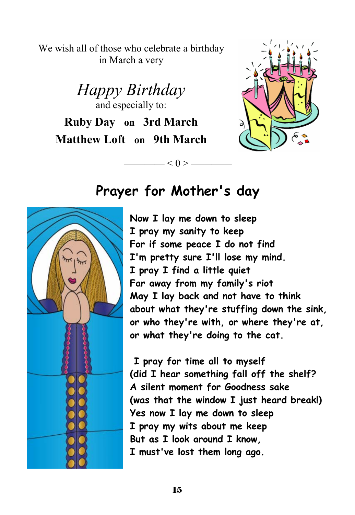We wish all of those who celebrate a birthday in March a very

*Happy Birthday*  and especially to: **Ruby Day on 3rd March Matthew Loft on 9th March**



# **Prayer for Mother's day**

—— $<$  0 > —

**Now I lay me down to sleep I pray my sanity to keep For if some peace I do not find I'm pretty sure I'll lose my mind. I pray I find a little quiet Far away from my family's riot May I lay back and not have to think about what they're stuffing down the sink, or who they're with, or where they're at, or what they're doing to the cat.** 

 **I pray for time all to myself (did I hear something fall off the shelf? A silent moment for Goodness sake (was that the window I just heard break!) Yes now I lay me down to sleep I pray my wits about me keep But as I look around I know, I must've lost them long ago.**